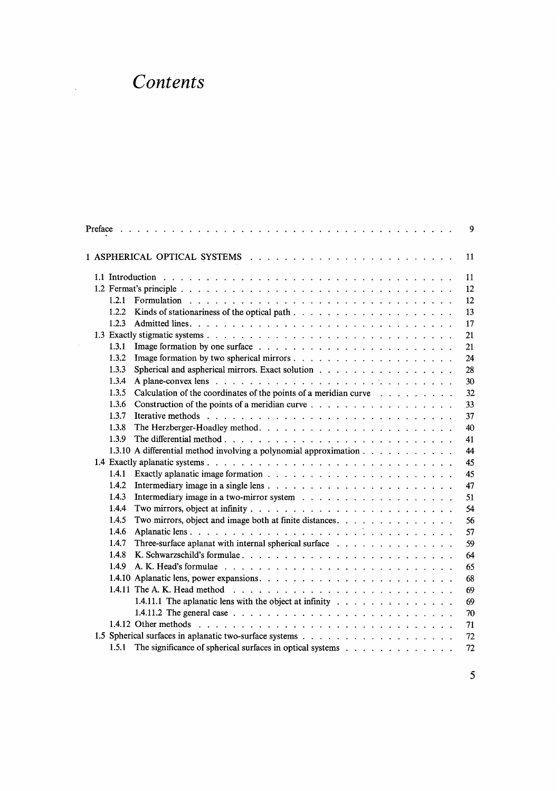## Contents

 $\mathbb{Z}_2$ 

| Preface                                                                                                                                                      |  |  |  |  | 9  |
|--------------------------------------------------------------------------------------------------------------------------------------------------------------|--|--|--|--|----|
|                                                                                                                                                              |  |  |  |  | 11 |
|                                                                                                                                                              |  |  |  |  | 11 |
|                                                                                                                                                              |  |  |  |  | 12 |
| 1.2.1                                                                                                                                                        |  |  |  |  | 12 |
| 1.2.2                                                                                                                                                        |  |  |  |  | 13 |
| 1.2.3                                                                                                                                                        |  |  |  |  | 17 |
|                                                                                                                                                              |  |  |  |  | 21 |
| 1.3.1                                                                                                                                                        |  |  |  |  | 21 |
| 1.3.2                                                                                                                                                        |  |  |  |  | 24 |
| 1.3.3<br>Spherical and aspherical mirrors. Exact solution                                                                                                    |  |  |  |  | 28 |
| 1.3.4                                                                                                                                                        |  |  |  |  | 30 |
| Calculation of the coordinates of the points of a meridian curve $\ldots$<br>1.3.5                                                                           |  |  |  |  | 32 |
| 1.3.6<br>Construction of the points of a meridian curve $\dots$                                                                                              |  |  |  |  | 33 |
| 1.3.7<br>Iterative methods $\cdots$ , $\cdots$ , $\cdots$ , $\cdots$ , $\cdots$ , $\cdots$ , $\cdots$ , $\cdots$ , $\cdots$ , $\cdots$ , $\cdots$ , $\cdots$ |  |  |  |  | 37 |
| 1.3.8                                                                                                                                                        |  |  |  |  | 40 |
| 1.3.9                                                                                                                                                        |  |  |  |  | 41 |
| 1.3.10 A differential method involving a polynomial approximation                                                                                            |  |  |  |  | 44 |
|                                                                                                                                                              |  |  |  |  | 45 |
| 1.4.1                                                                                                                                                        |  |  |  |  | 45 |
| 1.4.2                                                                                                                                                        |  |  |  |  | 47 |
| 1.4.3                                                                                                                                                        |  |  |  |  | 51 |
| 1.4.4                                                                                                                                                        |  |  |  |  | 54 |
| Two mirrors, object and image both at finite distances.<br>1.4.5                                                                                             |  |  |  |  | 56 |
| 1.4.6                                                                                                                                                        |  |  |  |  | 57 |
| Three-surface aplanat with internal spherical surface<br>1.4.7                                                                                               |  |  |  |  | 59 |
| 1.4.8                                                                                                                                                        |  |  |  |  | 64 |
| 1.4.9                                                                                                                                                        |  |  |  |  | 65 |
|                                                                                                                                                              |  |  |  |  | 68 |
|                                                                                                                                                              |  |  |  |  | 69 |
| 1.4.11.1 The aplanatic lens with the object at infinity                                                                                                      |  |  |  |  | 69 |
| 1.4.11.2 The general case $\ldots$ $\ldots$ $\ldots$ $\ldots$ $\ldots$ $\ldots$ $\ldots$ $\ldots$ $\ldots$ $\ldots$                                          |  |  |  |  | 70 |
|                                                                                                                                                              |  |  |  |  | 71 |
|                                                                                                                                                              |  |  |  |  | 72 |
| The significance of spherical surfaces in optical systems<br>1.5.1                                                                                           |  |  |  |  | 72 |
|                                                                                                                                                              |  |  |  |  |    |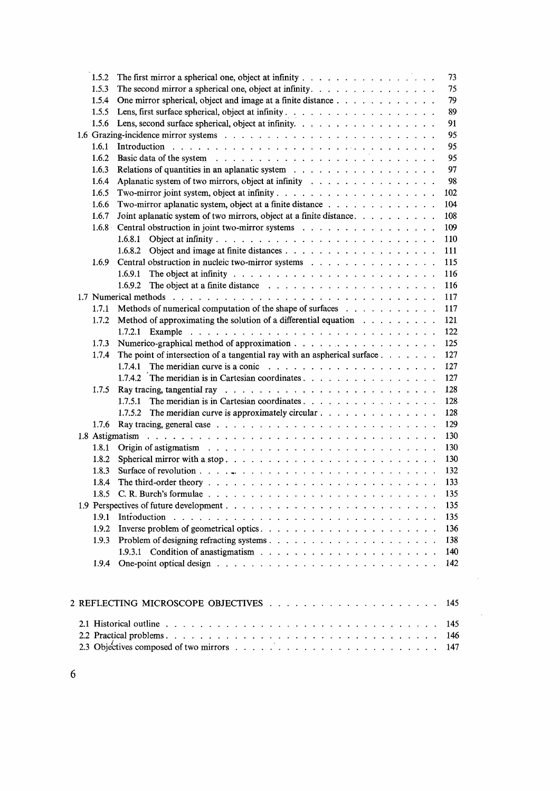| 1.5.2 | The first mirror a spherical one, object at infinity $\ldots$ , $\ldots$ , $\ldots$ , $\ldots$                                 | 73  |
|-------|--------------------------------------------------------------------------------------------------------------------------------|-----|
| 1.5.3 | The second mirror a spherical one, object at infinity.                                                                         | 75  |
| 1.5.4 | One mirror spherical, object and image at a finite distance                                                                    | 79  |
| 1.5.5 |                                                                                                                                | 89  |
| 1.5.6 | Lens, second surface spherical, object at infinity.                                                                            | 91  |
|       |                                                                                                                                | 95  |
| 1.6.1 |                                                                                                                                | 95  |
| 1.6.2 |                                                                                                                                | 95  |
| 1.6.3 | Relations of quantities in an aplanatic system $\ldots$ , , , ,                                                                | 97  |
| 1.6.4 | Aplanatic system of two mirrors, object at infinity                                                                            | 98  |
| 1.6.5 |                                                                                                                                | 102 |
| 1.6.6 | Two-mirror aplanatic system, object at a finite distance $\ldots$ ,                                                            | 104 |
| 1.6.7 | Joint aplanatic system of two mirrors, object at a finite distance.                                                            | 108 |
| 1.6.8 | Central obstruction in joint two-mirror systems                                                                                | 109 |
|       |                                                                                                                                | 110 |
|       | 1.6.8.2                                                                                                                        | 111 |
| 1.6.9 | Central obstruction in nucleic two-mirror systems                                                                              | 115 |
|       | 1.6.9.1                                                                                                                        | 116 |
|       | 1.6.9.2                                                                                                                        | 116 |
|       |                                                                                                                                | 117 |
| 1.7.1 | Methods of numerical computation of the shape of surfaces                                                                      | 117 |
| 1.7.2 | Method of approximating the solution of a differential equation                                                                | 121 |
|       | 1.7.2.1                                                                                                                        | 122 |
| 1.7.3 |                                                                                                                                | 125 |
| 1.7.4 | The point of intersection of a tangential ray with an aspherical surface                                                       | 127 |
|       | 1.7.4.1                                                                                                                        | 127 |
|       |                                                                                                                                | 127 |
| 1.7.5 |                                                                                                                                | 128 |
|       | 1.7.5.1                                                                                                                        | 128 |
|       | The meridian curve is approximately circular $\ldots$ $\ldots$ $\ldots$ $\ldots$ $\ldots$<br>1.7.5.2                           | 128 |
| 1.7.6 |                                                                                                                                | 129 |
|       | 1.8 Astigmatism<br>المتعارف المتعارف المتعارض المتعارض المتعارض المتعارف المتعارض المتعارض المتعارف المتعارض المتعارض المتعارض | 130 |
| 1.8.1 |                                                                                                                                | 130 |
| 1.8.2 | Spherical mirror with a stop. $\ldots$ $\ldots$ $\ldots$ $\ldots$ $\ldots$ $\ldots$ $\ldots$ $\ldots$ $\ldots$                 | 130 |
| 1.8.3 |                                                                                                                                | 132 |
| 1.8.4 |                                                                                                                                | 133 |
| 1.8.5 |                                                                                                                                | 135 |
|       |                                                                                                                                | 135 |
| 1.9.1 |                                                                                                                                | 135 |
| 1.9.2 |                                                                                                                                | 136 |
| 1.9.3 |                                                                                                                                | 138 |
|       |                                                                                                                                | 140 |
|       |                                                                                                                                | 142 |
|       |                                                                                                                                |     |
|       | 2 REFLECTING MICROSCOPE OBJECTIVES                                                                                             | 145 |
|       |                                                                                                                                |     |
|       |                                                                                                                                | 145 |
|       |                                                                                                                                | 146 |
|       |                                                                                                                                | 147 |